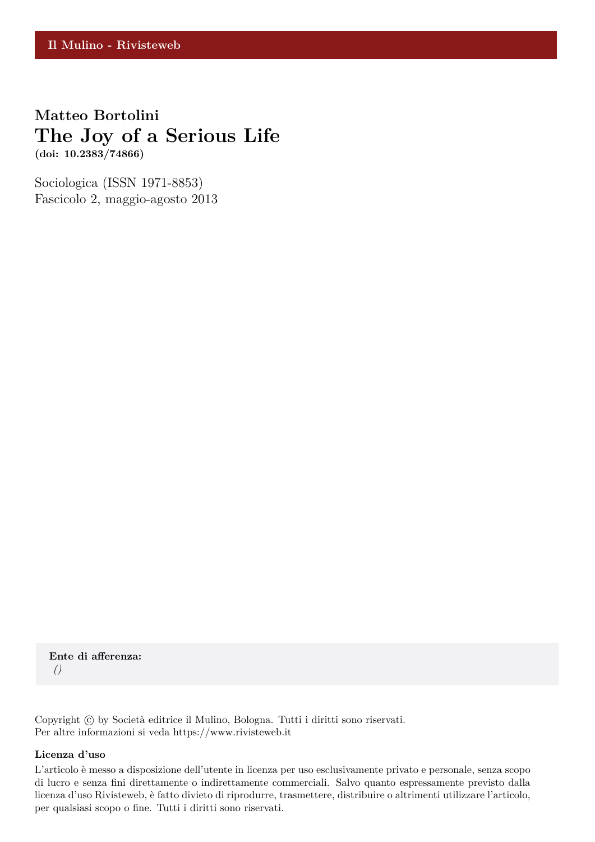**Matteo Bortolini The Joy of a Serious Life (doi: 10.2383/74866)**

Sociologica (ISSN 1971-8853) Fascicolo 2, maggio-agosto 2013

**Ente di afferenza:** *()*

Copyright © by Società editrice il Mulino, Bologna. Tutti i diritti sono riservati. Per altre informazioni si veda https://www.rivisteweb.it

#### **Licenza d'uso**

L'articolo è messo a disposizione dell'utente in licenza per uso esclusivamente privato e personale, senza scopo di lucro e senza fini direttamente o indirettamente commerciali. Salvo quanto espressamente previsto dalla licenza d'uso Rivisteweb, è fatto divieto di riprodurre, trasmettere, distribuire o altrimenti utilizzare l'articolo, per qualsiasi scopo o fine. Tutti i diritti sono riservati.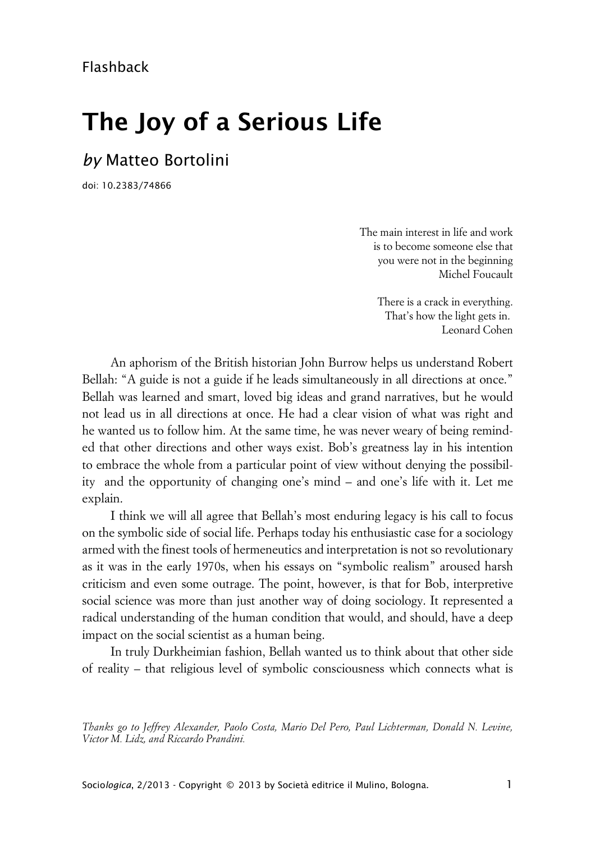# **The Joy of a Serious Life**

# *by* Matteo Bortolini

doi: 10.2383/74866

The main interest in life and work is to become someone else that you were not in the beginning Michel Foucault

> There is a crack in everything. That's how the light gets in. Leonard Cohen

An aphorism of the British historian John Burrow helps us understand Robert Bellah: "A guide is not a guide if he leads simultaneously in all directions at once." Bellah was learned and smart, loved big ideas and grand narratives, but he would not lead us in all directions at once. He had a clear vision of what was right and he wanted us to follow him. At the same time, he was never weary of being reminded that other directions and other ways exist. Bob's greatness lay in his intention to embrace the whole from a particular point of view without denying the possibility and the opportunity of changing one's mind – and one's life with it. Let me explain.

I think we will all agree that Bellah's most enduring legacy is his call to focus on the symbolic side of social life. Perhaps today his enthusiastic case for a sociology armed with the finest tools of hermeneutics and interpretation is not so revolutionary as it was in the early 1970s, when his essays on "symbolic realism" aroused harsh criticism and even some outrage. The point, however, is that for Bob, interpretive social science was more than just another way of doing sociology. It represented a radical understanding of the human condition that would, and should, have a deep impact on the social scientist as a human being.

In truly Durkheimian fashion, Bellah wanted us to think about that other side of reality – that religious level of symbolic consciousness which connects what is

*Thanks go to Jeffrey Alexander, Paolo Costa, Mario Del Pero, Paul Lichterman, Donald N. Levine, Victor M. Lidz, and Riccardo Prandini.*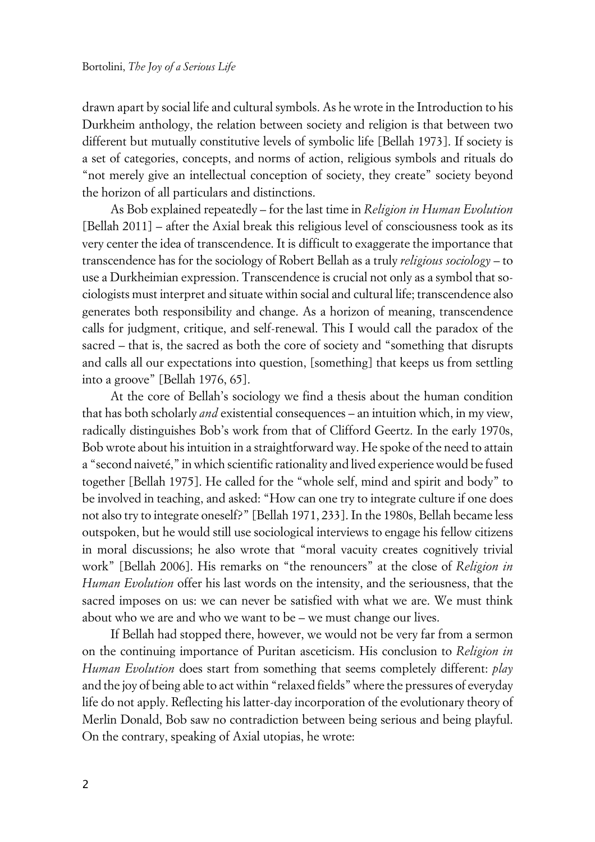drawn apart by social life and cultural symbols. As he wrote in the Introduction to his Durkheim anthology, the relation between society and religion is that between two different but mutually constitutive levels of symbolic life [Bellah 1973]. If society is a set of categories, concepts, and norms of action, religious symbols and rituals do "not merely give an intellectual conception of society, they create" society beyond the horizon of all particulars and distinctions.

As Bob explained repeatedly – for the last time in *Religion in Human Evolution* [Bellah 2011] – after the Axial break this religious level of consciousness took as its very center the idea of transcendence. It is difficult to exaggerate the importance that transcendence has for the sociology of Robert Bellah as a truly *religious sociology* – to use a Durkheimian expression. Transcendence is crucial not only as a symbol that sociologists must interpret and situate within social and cultural life; transcendence also generates both responsibility and change. As a horizon of meaning, transcendence calls for judgment, critique, and self-renewal. This I would call the paradox of the sacred – that is, the sacred as both the core of society and "something that disrupts and calls all our expectations into question, [something] that keeps us from settling into a groove" [Bellah 1976, 65].

At the core of Bellah's sociology we find a thesis about the human condition that has both scholarly *and* existential consequences – an intuition which, in my view, radically distinguishes Bob's work from that of Clifford Geertz. In the early 1970s, Bob wrote about his intuition in a straightforward way. He spoke of the need to attain a "second naiveté," in which scientific rationality and lived experience would be fused together [Bellah 1975]. He called for the "whole self, mind and spirit and body" to be involved in teaching, and asked: "How can one try to integrate culture if one does not also try to integrate oneself?" [Bellah 1971, 233]. In the 1980s, Bellah became less outspoken, but he would still use sociological interviews to engage his fellow citizens in moral discussions; he also wrote that "moral vacuity creates cognitively trivial work" [Bellah 2006]. His remarks on "the renouncers" at the close of *Religion in Human Evolution* offer his last words on the intensity, and the seriousness, that the sacred imposes on us: we can never be satisfied with what we are. We must think about who we are and who we want to be – we must change our lives.

If Bellah had stopped there, however, we would not be very far from a sermon on the continuing importance of Puritan asceticism. His conclusion to *Religion in Human Evolution* does start from something that seems completely different: *play* and the joy of being able to act within "relaxed fields" where the pressures of everyday life do not apply. Reflecting his latter-day incorporation of the evolutionary theory of Merlin Donald, Bob saw no contradiction between being serious and being playful. On the contrary, speaking of Axial utopias, he wrote: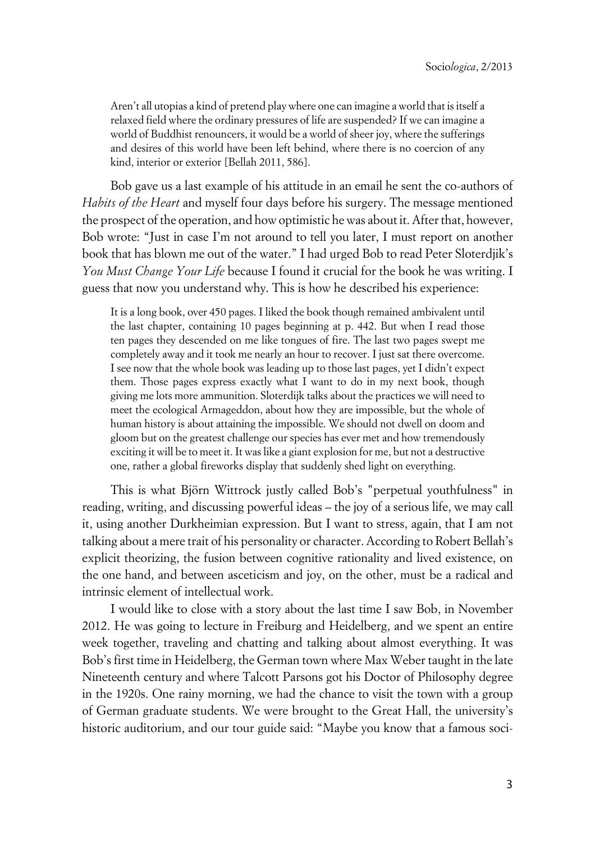Aren't all utopias a kind of pretend play where one can imagine a world that is itself a relaxed field where the ordinary pressures of life are suspended? If we can imagine a world of Buddhist renouncers, it would be a world of sheer joy, where the sufferings and desires of this world have been left behind, where there is no coercion of any kind, interior or exterior [Bellah 2011, 586].

Bob gave us a last example of his attitude in an email he sent the co-authors of *Habits of the Heart* and myself four days before his surgery. The message mentioned the prospect of the operation, and how optimistic he was about it. After that, however, Bob wrote: "Just in case I'm not around to tell you later, I must report on another book that has blown me out of the water." I had urged Bob to read Peter Sloterdjik's *You Must Change Your Life* because I found it crucial for the book he was writing. I guess that now you understand why. This is how he described his experience:

It is a long book, over 450 pages. I liked the book though remained ambivalent until the last chapter, containing 10 pages beginning at p. 442. But when I read those ten pages they descended on me like tongues of fire. The last two pages swept me completely away and it took me nearly an hour to recover. I just sat there overcome. I see now that the whole book was leading up to those last pages, yet I didn't expect them. Those pages express exactly what I want to do in my next book, though giving me lots more ammunition. Sloterdijk talks about the practices we will need to meet the ecological Armageddon, about how they are impossible, but the whole of human history is about attaining the impossible. We should not dwell on doom and gloom but on the greatest challenge our species has ever met and how tremendously exciting it will be to meet it. It was like a giant explosion for me, but not a destructive one, rather a global fireworks display that suddenly shed light on everything.

This is what Björn Wittrock justly called Bob's "perpetual youthfulness" in reading, writing, and discussing powerful ideas – the joy of a serious life, we may call it, using another Durkheimian expression. But I want to stress, again, that I am not talking about a mere trait of his personality or character. According to Robert Bellah's explicit theorizing, the fusion between cognitive rationality and lived existence, on the one hand, and between asceticism and joy, on the other, must be a radical and intrinsic element of intellectual work.

I would like to close with a story about the last time I saw Bob, in November 2012. He was going to lecture in Freiburg and Heidelberg, and we spent an entire week together, traveling and chatting and talking about almost everything. It was Bob's first time in Heidelberg, the German town where Max Weber taught in the late Nineteenth century and where Talcott Parsons got his Doctor of Philosophy degree in the 1920s. One rainy morning, we had the chance to visit the town with a group of German graduate students. We were brought to the Great Hall, the university's historic auditorium, and our tour guide said: "Maybe you know that a famous soci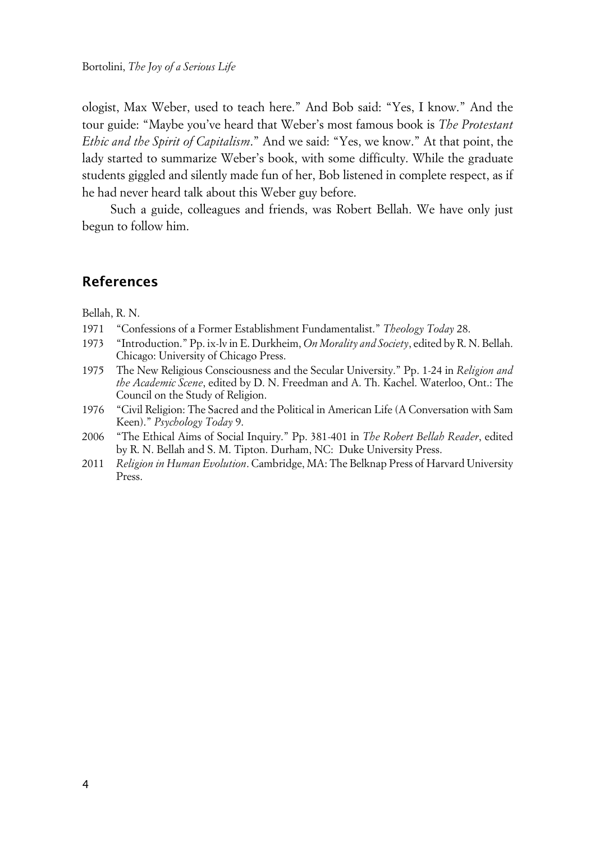ologist, Max Weber, used to teach here." And Bob said: "Yes, I know." And the tour guide: "Maybe you've heard that Weber's most famous book is *The Protestant Ethic and the Spirit of Capitalism*." And we said: "Yes, we know." At that point, the lady started to summarize Weber's book, with some difficulty. While the graduate students giggled and silently made fun of her, Bob listened in complete respect, as if he had never heard talk about this Weber guy before.

Such a guide, colleagues and friends, was Robert Bellah. We have only just begun to follow him.

### **References**

Bellah, R. N.

- 1971 "Confessions of a Former Establishment Fundamentalist." *Theology Today* 28.
- 1973 "Introduction." Pp. ix-lv in E. Durkheim, *On Morality and Society*, edited by R. N. Bellah. Chicago: University of Chicago Press.
- 1975 The New Religious Consciousness and the Secular University." Pp. 1-24 in *Religion and the Academic Scene*, edited by D. N. Freedman and A. Th. Kachel. Waterloo, Ont.: The Council on the Study of Religion.
- 1976 "Civil Religion: The Sacred and the Political in American Life (A Conversation with Sam Keen)." *Psychology Today* 9.
- 2006 "The Ethical Aims of Social Inquiry." Pp. 381-401 in *The Robert Bellah Reader*, edited by R. N. Bellah and S. M. Tipton. Durham, NC: Duke University Press.
- 2011 *Religion in Human Evolution*. Cambridge, MA: The Belknap Press of Harvard University Press.